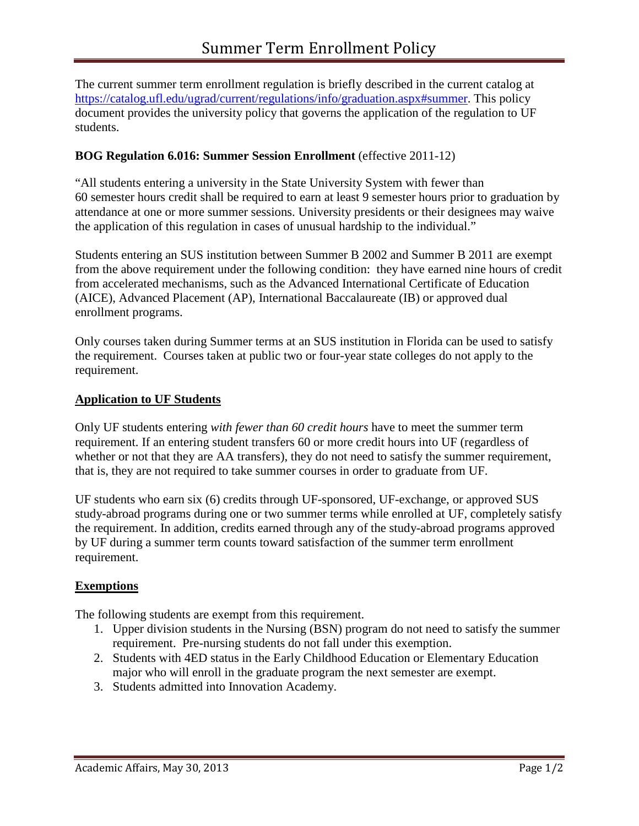The current summer term enrollment regulation is briefly described in the current catalog at [https://catalog.ufl.edu/ugrad/current/regulations/info/graduation.aspx#summer.](https://catalog.ufl.edu/ugrad/current/regulations/info/graduation.aspx#summer) This policy document provides the university policy that governs the application of the regulation to UF students.

## **BOG Regulation 6.016: Summer Session Enrollment** (effective 2011-12)

"All students entering a university in the State University System with fewer than 60 semester hours credit shall be required to earn at least 9 semester hours prior to graduation by attendance at one or more summer sessions. University presidents or their designees may waive the application of this regulation in cases of unusual hardship to the individual."

Students entering an SUS institution between Summer B 2002 and Summer B 2011 are exempt from the above requirement under the following condition: they have earned nine hours of credit from accelerated mechanisms, such as the Advanced International Certificate of Education (AICE), Advanced Placement (AP), International Baccalaureate (IB) or approved dual enrollment programs.

Only courses taken during Summer terms at an SUS institution in Florida can be used to satisfy the requirement. Courses taken at public two or four-year state colleges do not apply to the requirement.

## **Application to UF Students**

Only UF students entering *with fewer than 60 credit hours* have to meet the summer term requirement. If an entering student transfers 60 or more credit hours into UF (regardless of whether or not that they are AA transfers), they do not need to satisfy the summer requirement, that is, they are not required to take summer courses in order to graduate from UF.

UF students who earn six (6) credits through UF-sponsored, UF-exchange, or approved SUS study-abroad programs during one or two summer terms while enrolled at UF, completely satisfy the requirement. In addition, credits earned through any of the study-abroad programs approved by UF during a summer term counts toward satisfaction of the summer term enrollment requirement.

### **Exemptions**

The following students are exempt from this requirement.

- 1. Upper division students in the Nursing (BSN) program do not need to satisfy the summer requirement. Pre-nursing students do not fall under this exemption.
- 2. Students with 4ED status in the Early Childhood Education or Elementary Education major who will enroll in the graduate program the next semester are exempt.
- 3. Students admitted into Innovation Academy.